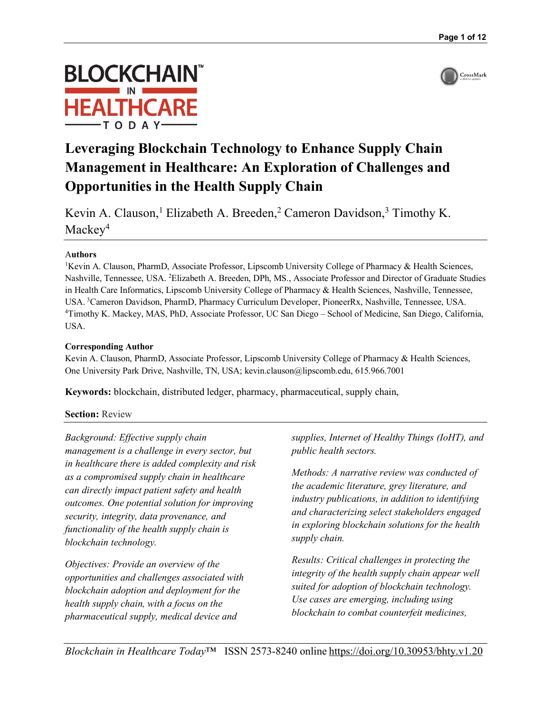

# **BLOCKCHAIN HEALTHCARE**

# **Leveraging Blockchain Technology to Enhance Supply Chain Management in Healthcare: An Exploration of Challenges and Opportunities in the Health Supply Chain**

Kevin A. Clauson,<sup>1</sup> Elizabeth A. Breeden,<sup>2</sup> Cameron Davidson,<sup>3</sup> Timothy K. Mackey<sup>4</sup>

#### A**uthors**

<sup>1</sup>Kevin A. Clauson, PharmD, Associate Professor, Lipscomb University College of Pharmacy & Health Sciences, Nashville, Tennessee, USA. <sup>2</sup>Elizabeth A. Breeden, DPh, MS., Associate Professor and Director of Graduate Studies in Health Care Informatics, Lipscomb University College of Pharmacy & Health Sciences, Nashville, Tennessee, USA. <sup>3</sup>Cameron Davidson, PharmD, Pharmacy Curriculum Developer, PioneerRx, Nashville, Tennessee, USA. 4 Timothy K. Mackey, MAS, PhD, Associate Professor, UC San Diego – School of Medicine, San Diego, California, USA.

#### **Corresponding Author**

Kevin A. Clauson, PharmD, Associate Professor, Lipscomb University College of Pharmacy & Health Sciences, One University Park Drive, Nashville, TN, USA; kevin.clauson@lipscomb.edu, 615.966.7001

**Keywords:** blockchain, distributed ledger, pharmacy, pharmaceutical, supply chain,

#### **Section: Review**

*Background: Effective supply chain management is a challenge in every sector, but in healthcare there is added complexity and risk as a compromised supply chain in healthcare can directly impact patient safety and health outcomes. One potential solution for improving security, integrity, data provenance, and functionality of the health supply chain is blockchain technology.*

*Objectives: Provide an overview of the opportunities and challenges associated with blockchain adoption and deployment for the health supply chain, with a focus on the pharmaceutical supply, medical device and* 

*supplies, Internet of Healthy Things (IoHT), and public health sectors.* 

*Methods: A narrative review was conducted of the academic literature, grey literature, and industry publications, in addition to identifying and characterizing select stakeholders engaged in exploring blockchain solutions for the health supply chain.*

*Results: Critical challenges in protecting the integrity of the health supply chain appear well suited for adoption of blockchain technology. Use cases are emerging, including using blockchain to combat counterfeit medicines,*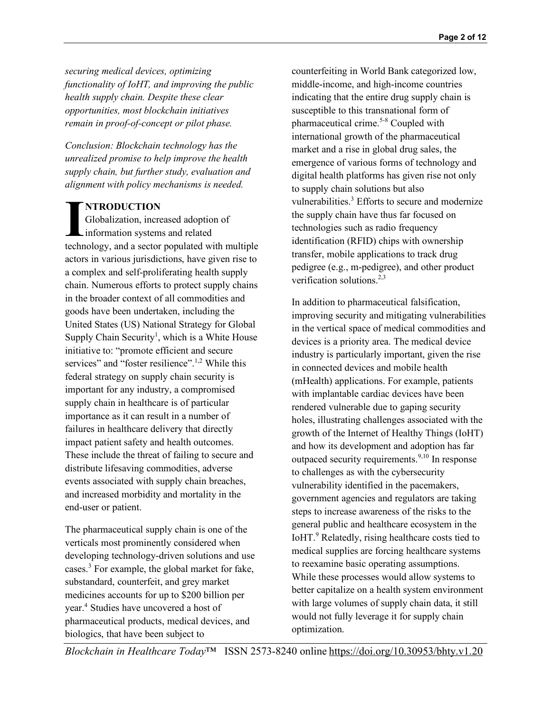*securing medical devices, optimizing functionality of IoHT, and improving the public health supply chain. Despite these clear opportunities, most blockchain initiatives remain in proof-of-concept or pilot phase.*

*Conclusion: Blockchain technology has the unrealized promise to help improve the health supply chain, but further study, evaluation and alignment with policy mechanisms is needed.*

#### **NTRODUCTION**

Globalization, increased adoption of information systems and related **IMPODUCTION**<br>
Globalization, increased adoption of<br>
information systems and related<br>
technology, and a sector populated with multiple actors in various jurisdictions, have given rise to a complex and self-proliferating health supply chain. Numerous efforts to protect supply chains in the broader context of all commodities and goods have been undertaken, including the United States (US) National Strategy for Global Supply Chain Security<sup>1</sup>, which is a White House initiative to: "promote efficient and secure services" and "foster resilience".<sup>1,2</sup> While this federal strategy on supply chain security is important for any industry, a compromised supply chain in healthcare is of particular importance as it can result in a number of failures in healthcare delivery that directly impact patient safety and health outcomes. These include the threat of failing to secure and distribute lifesaving commodities, adverse events associated with supply chain breaches, and increased morbidity and mortality in the end-user or patient.

The pharmaceutical supply chain is one of the verticals most prominently considered when developing technology-driven solutions and use cases. <sup>3</sup> For example, the global market for fake, substandard, counterfeit, and grey market medicines accounts for up to \$200 billion per year. <sup>4</sup> Studies have uncovered a host of pharmaceutical products, medical devices, and biologics, that have been subject to

counterfeiting in World Bank categorized low, middle-income, and high-income countries indicating that the entire drug supply chain is susceptible to this transnational form of pharmaceutical crime. 5-8 Coupled with international growth of the pharmaceutical market and a rise in global drug sales, the emergence of various forms of technology and digital health platforms has given rise not only to supply chain solutions but also vulnerabilities.<sup>3</sup> Efforts to secure and modernize the supply chain have thus far focused on technologies such as radio frequency identification (RFID) chips with ownership transfer, mobile applications to track drug pedigree (e.g., m-pedigree), and other product verification solutions. $2,3$ 

In addition to pharmaceutical falsification, improving security and mitigating vulnerabilities in the vertical space of medical commodities and devices is a priority area. The medical device industry is particularly important, given the rise in connected devices and mobile health (mHealth) applications. For example, patients with implantable cardiac devices have been rendered vulnerable due to gaping security holes, illustrating challenges associated with the growth of the Internet of Healthy Things (IoHT) and how its development and adoption has far outpaced security requirements.<sup>9,10</sup> In response to challenges as with the cybersecurity vulnerability identified in the pacemakers, government agencies and regulators are taking steps to increase awareness of the risks to the general public and healthcare ecosystem in the IoHT.<sup>9</sup> Relatedly, rising healthcare costs tied to medical supplies are forcing healthcare systems to reexamine basic operating assumptions. While these processes would allow systems to better capitalize on a health system environment with large volumes of supply chain data, it still would not fully leverage it for supply chain optimization.

*Blockchain in Healthcare Today*™ ISSN 2573-8240 online https://doi.org/10.30953/bhty.v1.20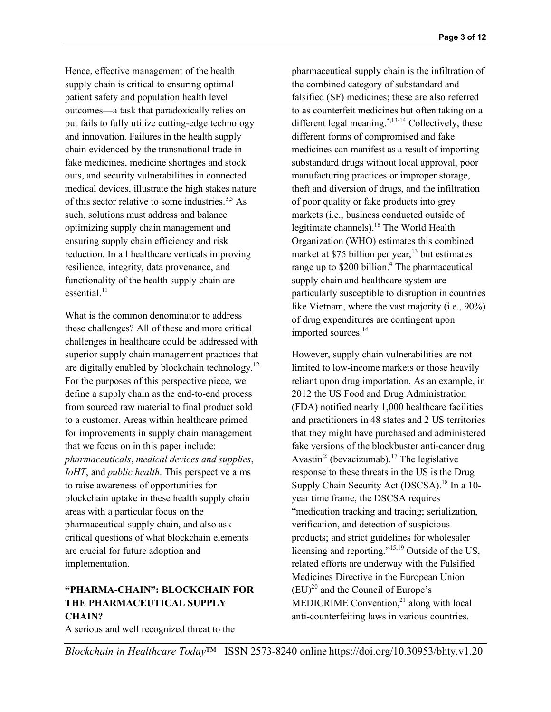Hence, effective management of the health supply chain is critical to ensuring optimal patient safety and population health level outcomes—a task that paradoxically relies on but fails to fully utilize cutting-edge technology and innovation. Failures in the health supply chain evidenced by the transnational trade in fake medicines, medicine shortages and stock outs, and security vulnerabilities in connected medical devices, illustrate the high stakes nature of this sector relative to some industries.<sup>3,5</sup> As such, solutions must address and balance optimizing supply chain management and ensuring supply chain efficiency and risk reduction. In all healthcare verticals improving resilience, integrity, data provenance, and functionality of the health supply chain are essential.<sup>11</sup>

What is the common denominator to address these challenges? All of these and more critical challenges in healthcare could be addressed with superior supply chain management practices that are digitally enabled by blockchain technology.<sup>12</sup> For the purposes of this perspective piece, we define a supply chain as the end-to-end process from sourced raw material to final product sold to a customer. Areas within healthcare primed for improvements in supply chain management that we focus on in this paper include: *pharmaceuticals*, *medical devices and supplies*, *IoHT*, and *public health*. This perspective aims to raise awareness of opportunities for blockchain uptake in these health supply chain areas with a particular focus on the pharmaceutical supply chain, and also ask critical questions of what blockchain elements are crucial for future adoption and implementation.

#### **"PHARMA-CHAIN": BLOCKCHAIN FOR THE PHARMACEUTICAL SUPPLY CHAIN?**

A serious and well recognized threat to the

pharmaceutical supply chain is the infiltration of the combined category of substandard and falsified (SF) medicines; these are also referred to as counterfeit medicines but often taking on a different legal meaning.<sup>5,13-14</sup> Collectively, these different forms of compromised and fake medicines can manifest as a result of importing substandard drugs without local approval, poor manufacturing practices or improper storage, theft and diversion of drugs, and the infiltration of poor quality or fake products into grey markets (i.e., business conducted outside of legitimate channels). <sup>15</sup> The World Health Organization (WHO) estimates this combined market at \$75 billion per year,<sup>13</sup> but estimates range up to \$200 billion.<sup>4</sup> The pharmaceutical supply chain and healthcare system are particularly susceptible to disruption in countries like Vietnam, where the vast majority (i.e., 90%) of drug expenditures are contingent upon imported sources. 16

However, supply chain vulnerabilities are not limited to low-income markets or those heavily reliant upon drug importation. As an example, in 2012 the US Food and Drug Administration (FDA) notified nearly 1,000 healthcare facilities and practitioners in 48 states and 2 US territories that they might have purchased and administered fake versions of the blockbuster anti-cancer drug Avastin<sup>®</sup> (bevacizumab).<sup>17</sup> The legislative response to these threats in the US is the Drug Supply Chain Security Act (DSCSA).<sup>18</sup> In a 10year time frame, the DSCSA requires "medication tracking and tracing; serialization, verification, and detection of suspicious products; and strict guidelines for wholesaler licensing and reporting."<sup>15,19</sup> Outside of the US, related efforts are underway with the Falsified Medicines Directive in the European Union  $(EU)^{20}$  and the Council of Europe's MEDICRIME Convention, $^{21}$  along with local anti-counterfeiting laws in various countries.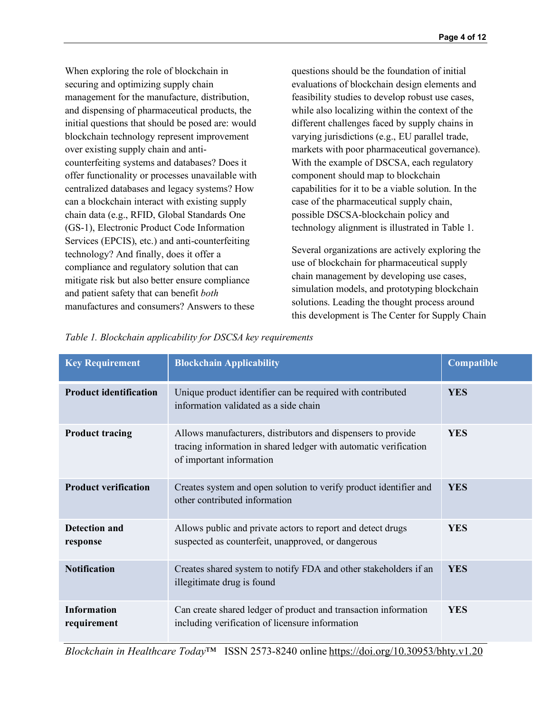When exploring the role of blockchain in securing and optimizing supply chain management for the manufacture, distribution, and dispensing of pharmaceutical products, the initial questions that should be posed are: would blockchain technology represent improvement over existing supply chain and anticounterfeiting systems and databases? Does it offer functionality or processes unavailable with centralized databases and legacy systems? How can a blockchain interact with existing supply chain data (e.g., RFID, Global Standards One (GS-1), Electronic Product Code Information Services (EPCIS), etc.) and anti-counterfeiting technology? And finally, does it offer a compliance and regulatory solution that can mitigate risk but also better ensure compliance and patient safety that can benefit *both* manufactures and consumers? Answers to these

questions should be the foundation of initial evaluations of blockchain design elements and feasibility studies to develop robust use cases, while also localizing within the context of the different challenges faced by supply chains in varying jurisdictions (e.g., EU parallel trade, markets with poor pharmaceutical governance). With the example of DSCSA, each regulatory component should map to blockchain capabilities for it to be a viable solution. In the case of the pharmaceutical supply chain, possible DSCSA-blockchain policy and technology alignment is illustrated in Table 1.

Several organizations are actively exploring the use of blockchain for pharmaceutical supply chain management by developing use cases, simulation models, and prototyping blockchain solutions. Leading the thought process around this development is The Center for Supply Chain

| <b>Key Requirement</b>            | <b>Blockchain Applicability</b>                                                                                                                              | Compatible |
|-----------------------------------|--------------------------------------------------------------------------------------------------------------------------------------------------------------|------------|
| <b>Product identification</b>     | Unique product identifier can be required with contributed<br>information validated as a side chain                                                          | <b>YES</b> |
| <b>Product tracing</b>            | Allows manufacturers, distributors and dispensers to provide<br>tracing information in shared ledger with automatic verification<br>of important information | <b>YES</b> |
| <b>Product verification</b>       | Creates system and open solution to verify product identifier and<br>other contributed information                                                           | <b>YES</b> |
| Detection and<br>response         | Allows public and private actors to report and detect drugs<br>suspected as counterfeit, unapproved, or dangerous                                            | <b>YES</b> |
| <b>Notification</b>               | Creates shared system to notify FDA and other stakeholders if an<br>illegitimate drug is found                                                               | <b>YES</b> |
| <b>Information</b><br>requirement | Can create shared ledger of product and transaction information<br>including verification of licensure information                                           | <b>YES</b> |

*Table 1. Blockchain applicability for DSCSA key requirements*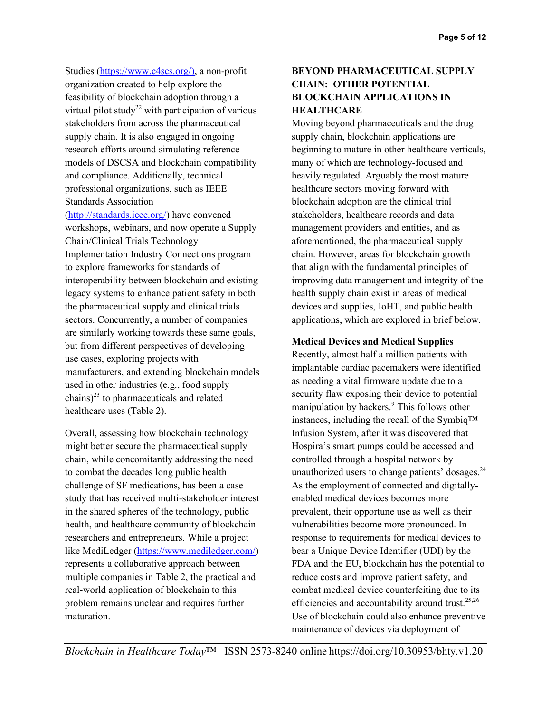Studies (https://www.c4scs.org/), a non-profit organization created to help explore the feasibility of blockchain adoption through a virtual pilot study<sup>22</sup> with participation of various stakeholders from across the pharmaceutical supply chain. It is also engaged in ongoing research efforts around simulating reference models of DSCSA and blockchain compatibility and compliance. Additionally, technical professional organizations, such as IEEE Standards Association

(http://standards.ieee.org/) have convened workshops, webinars, and now operate a Supply Chain/Clinical Trials Technology Implementation Industry Connections program to explore frameworks for standards of interoperability between blockchain and existing legacy systems to enhance patient safety in both the pharmaceutical supply and clinical trials sectors. Concurrently, a number of companies are similarly working towards these same goals, but from different perspectives of developing use cases, exploring projects with manufacturers, and extending blockchain models used in other industries (e.g., food supply chains) $^{23}$  to pharmaceuticals and related healthcare uses (Table 2).

Overall, assessing how blockchain technology might better secure the pharmaceutical supply chain, while concomitantly addressing the need to combat the decades long public health challenge of SF medications, has been a case study that has received multi-stakeholder interest in the shared spheres of the technology, public health, and healthcare community of blockchain researchers and entrepreneurs. While a project like MediLedger (https://www.mediledger.com/) represents a collaborative approach between multiple companies in Table 2, the practical and real-world application of blockchain to this problem remains unclear and requires further maturation.

# **BEYOND PHARMACEUTICAL SUPPLY CHAIN: OTHER POTENTIAL BLOCKCHAIN APPLICATIONS IN HEALTHCARE**

Moving beyond pharmaceuticals and the drug supply chain, blockchain applications are beginning to mature in other healthcare verticals, many of which are technology-focused and heavily regulated. Arguably the most mature healthcare sectors moving forward with blockchain adoption are the clinical trial stakeholders, healthcare records and data management providers and entities, and as aforementioned, the pharmaceutical supply chain. However, areas for blockchain growth that align with the fundamental principles of improving data management and integrity of the health supply chain exist in areas of medical devices and supplies, IoHT, and public health applications, which are explored in brief below.

**Medical Devices and Medical Supplies**

Recently, almost half a million patients with implantable cardiac pacemakers were identified as needing a vital firmware update due to a security flaw exposing their device to potential manipulation by hackers.<sup>9</sup> This follows other instances, including the recall of the Symbiq™ Infusion System, after it was discovered that Hospira's smart pumps could be accessed and controlled through a hospital network by unauthorized users to change patients' dosages. $24$ As the employment of connected and digitallyenabled medical devices becomes more prevalent, their opportune use as well as their vulnerabilities become more pronounced. In response to requirements for medical devices to bear a Unique Device Identifier (UDI) by the FDA and the EU, blockchain has the potential to reduce costs and improve patient safety, and combat medical device counterfeiting due to its efficiencies and accountability around trust.<sup>25,26</sup> Use of blockchain could also enhance preventive maintenance of devices via deployment of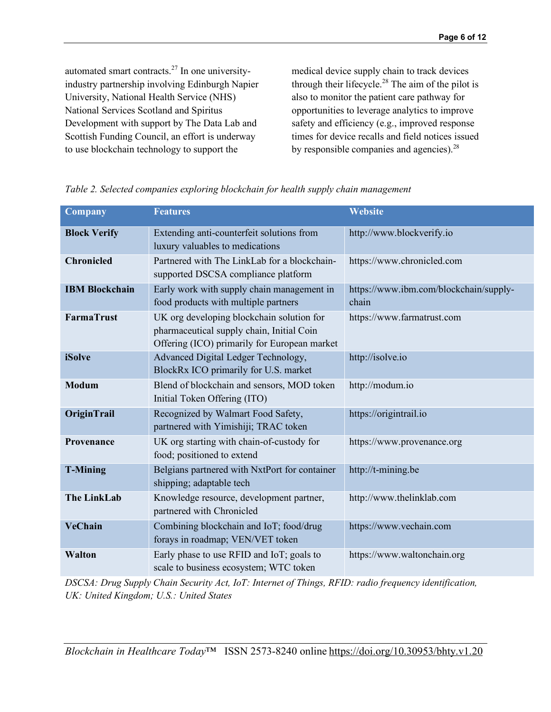automated smart contracts.<sup>27</sup> In one universityindustry partnership involving Edinburgh Napier University, National Health Service (NHS) National Services Scotland and Spiritus Development with support by The Data Lab and Scottish Funding Council, an effort is underway to use blockchain technology to support the

medical device supply chain to track devices through their lifecycle.<sup>28</sup> The aim of the pilot is also to monitor the patient care pathway for opportunities to leverage analytics to improve safety and efficiency (e.g., improved response times for device recalls and field notices issued by responsible companies and agencies). $28$ 

| <b>Company</b>        | <b>Features</b>                                                                                                                        | <b>Website</b>                                  |
|-----------------------|----------------------------------------------------------------------------------------------------------------------------------------|-------------------------------------------------|
| <b>Block Verify</b>   | Extending anti-counterfeit solutions from<br>luxury valuables to medications                                                           | http://www.blockverify.io                       |
| <b>Chronicled</b>     | Partnered with The LinkLab for a blockchain-<br>supported DSCSA compliance platform                                                    | https://www.chronicled.com                      |
| <b>IBM Blockchain</b> | Early work with supply chain management in<br>food products with multiple partners                                                     | https://www.ibm.com/blockchain/supply-<br>chain |
| <b>FarmaTrust</b>     | UK org developing blockchain solution for<br>pharmaceutical supply chain, Initial Coin<br>Offering (ICO) primarily for European market | https://www.farmatrust.com                      |
| <b>iSolve</b>         | Advanced Digital Ledger Technology,<br>BlockRx ICO primarily for U.S. market                                                           | http://isolve.io                                |
| <b>Modum</b>          | Blend of blockchain and sensors, MOD token<br>Initial Token Offering (ITO)                                                             | http://modum.io                                 |
| OriginTrail           | Recognized by Walmart Food Safety,<br>partnered with Yimishiji; TRAC token                                                             | https://origintrail.io                          |
| Provenance            | UK org starting with chain-of-custody for<br>food; positioned to extend                                                                | https://www.provenance.org                      |
| <b>T-Mining</b>       | Belgians partnered with NxtPort for container<br>shipping; adaptable tech                                                              | http://t-mining.be                              |
| <b>The LinkLab</b>    | Knowledge resource, development partner,<br>partnered with Chronicled                                                                  | http://www.thelinklab.com                       |
| <b>VeChain</b>        | Combining blockchain and IoT; food/drug<br>forays in roadmap; VEN/VET token                                                            | https://www.vechain.com                         |
| <b>Walton</b>         | Early phase to use RFID and IoT; goals to<br>scale to business ecosystem; WTC token                                                    | https://www.waltonchain.org                     |

|  |  | Table 2. Selected companies exploring blockchain for health supply chain management |
|--|--|-------------------------------------------------------------------------------------|

*DSCSA: Drug Supply Chain Security Act, IoT: Internet of Things, RFID: radio frequency identification, UK: United Kingdom; U.S.: United States*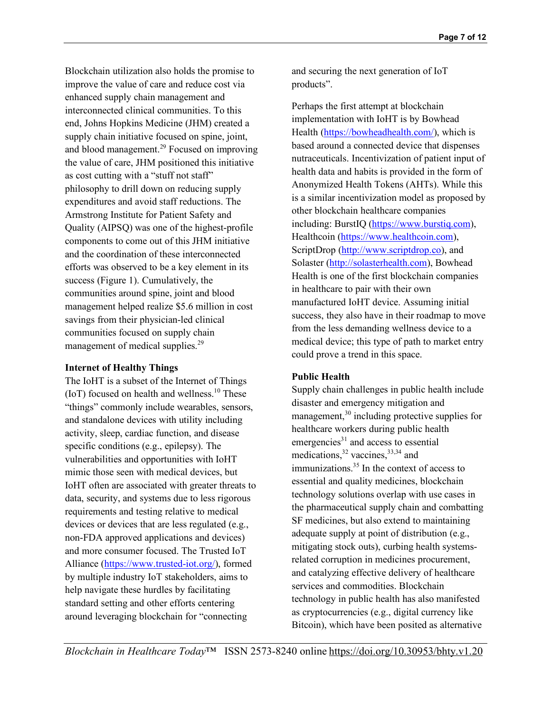Blockchain utilization also holds the promise to improve the value of care and reduce cost via enhanced supply chain management and interconnected clinical communities. To this end, Johns Hopkins Medicine (JHM) created a supply chain initiative focused on spine, joint, and blood management. <sup>29</sup> Focused on improving the value of care, JHM positioned this initiative as cost cutting with a "stuff not staff" philosophy to drill down on reducing supply expenditures and avoid staff reductions. The Armstrong Institute for Patient Safety and Quality (AIPSQ) was one of the highest-profile components to come out of this JHM initiative and the coordination of these interconnected efforts was observed to be a key element in its success (Figure 1). Cumulatively, the communities around spine, joint and blood management helped realize \$5.6 million in cost savings from their physician-led clinical communities focused on supply chain management of medical supplies.<sup>29</sup>

#### **Internet of Healthy Things**

The IoHT is a subset of the Internet of Things (IoT) focused on health and wellness.<sup>10</sup> These "things" commonly include wearables, sensors, and standalone devices with utility including activity, sleep, cardiac function, and disease specific conditions (e.g., epilepsy). The vulnerabilities and opportunities with IoHT mimic those seen with medical devices, but IoHT often are associated with greater threats to data, security, and systems due to less rigorous requirements and testing relative to medical devices or devices that are less regulated (e.g., non-FDA approved applications and devices) and more consumer focused. The Trusted IoT Alliance (https://www.trusted-iot.org/), formed by multiple industry IoT stakeholders, aims to help navigate these hurdles by facilitating standard setting and other efforts centering around leveraging blockchain for "connecting

and securing the next generation of IoT products".

Perhaps the first attempt at blockchain implementation with IoHT is by Bowhead Health (https://bowheadhealth.com/), which is based around a connected device that dispenses nutraceuticals. Incentivization of patient input of health data and habits is provided in the form of Anonymized Health Tokens (AHTs). While this is a similar incentivization model as proposed by other blockchain healthcare companies including: BurstIQ (https://www.burstiq.com), Healthcoin (https://www.healthcoin.com), ScriptDrop (http://www.scriptdrop.co), and Solaster (http://solasterhealth.com), Bowhead Health is one of the first blockchain companies in healthcare to pair with their own manufactured IoHT device. Assuming initial success, they also have in their roadmap to move from the less demanding wellness device to a medical device; this type of path to market entry could prove a trend in this space.

# **Public Health**

Supply chain challenges in public health include disaster and emergency mitigation and management, $30$  including protective supplies for healthcare workers during public health emergencies $31$  and access to essential medications,  $32$  vaccines,  $33,34$  and immunizations. $35$  In the context of access to essential and quality medicines, blockchain technology solutions overlap with use cases in the pharmaceutical supply chain and combatting SF medicines, but also extend to maintaining adequate supply at point of distribution (e.g., mitigating stock outs), curbing health systemsrelated corruption in medicines procurement, and catalyzing effective delivery of healthcare services and commodities. Blockchain technology in public health has also manifested as cryptocurrencies (e.g., digital currency like Bitcoin), which have been posited as alternative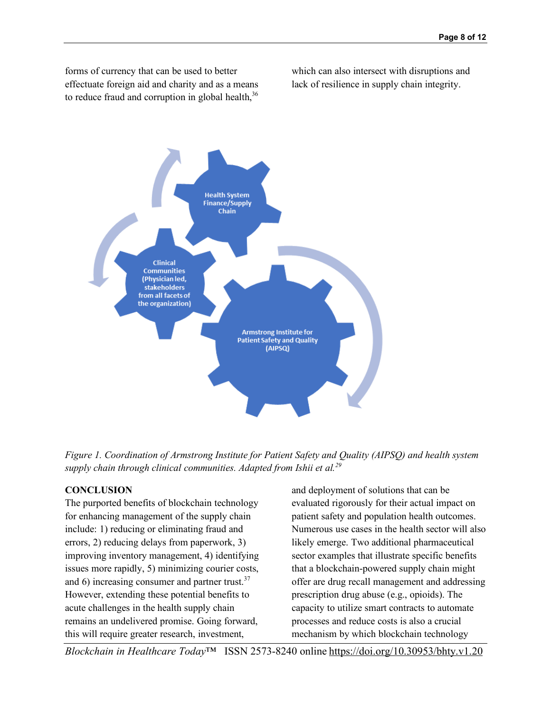forms of currency that can be used to better effectuate foreign aid and charity and as a means to reduce fraud and corruption in global health,  $36$  which can also intersect with disruptions and lack of resilience in supply chain integrity.



*Figure 1. Coordination of Armstrong Institute for Patient Safety and Quality (AIPSQ) and health system supply chain through clinical communities. Adapted from Ishii et al.<sup>29</sup>*

# **CONCLUSION**

The purported benefits of blockchain technology for enhancing management of the supply chain include: 1) reducing or eliminating fraud and errors, 2) reducing delays from paperwork, 3) improving inventory management, 4) identifying issues more rapidly, 5) minimizing courier costs, and 6) increasing consumer and partner trust.<sup>37</sup> However, extending these potential benefits to acute challenges in the health supply chain remains an undelivered promise. Going forward, this will require greater research, investment,

and deployment of solutions that can be evaluated rigorously for their actual impact on patient safety and population health outcomes. Numerous use cases in the health sector will also likely emerge. Two additional pharmaceutical sector examples that illustrate specific benefits that a blockchain-powered supply chain might offer are drug recall management and addressing prescription drug abuse (e.g., opioids). The capacity to utilize smart contracts to automate processes and reduce costs is also a crucial mechanism by which blockchain technology

*Blockchain in Healthcare Today*™ ISSN 2573-8240 online https://doi.org/10.30953/bhty.v1.20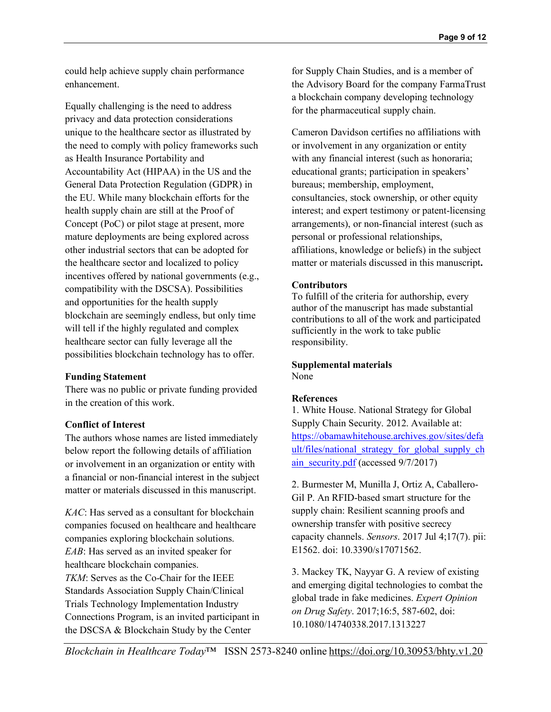could help achieve supply chain performance enhancement.

Equally challenging is the need to address privacy and data protection considerations unique to the healthcare sector as illustrated by the need to comply with policy frameworks such as Health Insurance Portability and Accountability Act (HIPAA) in the US and the General Data Protection Regulation (GDPR) in the EU. While many blockchain efforts for the health supply chain are still at the Proof of Concept (PoC) or pilot stage at present, more mature deployments are being explored across other industrial sectors that can be adopted for the healthcare sector and localized to policy incentives offered by national governments (e.g., compatibility with the DSCSA). Possibilities and opportunities for the health supply blockchain are seemingly endless, but only time will tell if the highly regulated and complex healthcare sector can fully leverage all the possibilities blockchain technology has to offer.

# **Funding Statement**

There was no public or private funding provided in the creation of this work.

# **Conflict of Interest**

The authors whose names are listed immediately below report the following details of affiliation or involvement in an organization or entity with a financial or non-financial interest in the subject matter or materials discussed in this manuscript.

*KAC*: Has served as a consultant for blockchain companies focused on healthcare and healthcare companies exploring blockchain solutions. *EAB*: Has served as an invited speaker for healthcare blockchain companies.

*TKM*: Serves as the Co-Chair for the IEEE Standards Association Supply Chain/Clinical Trials Technology Implementation Industry Connections Program, is an invited participant in the DSCSA & Blockchain Study by the Center

for Supply Chain Studies, and is a member of the Advisory Board for the company FarmaTrust a blockchain company developing technology for the pharmaceutical supply chain.

Cameron Davidson certifies no affiliations with or involvement in any organization or entity with any financial interest (such as honoraria; educational grants; participation in speakers' bureaus; membership, employment, consultancies, stock ownership, or other equity interest; and expert testimony or patent-licensing arrangements), or non-financial interest (such as personal or professional relationships, affiliations, knowledge or beliefs) in the subject matter or materials discussed in this manuscript**.**

# **Contributors**

To fulfill of the criteria for authorship, every author of the manuscript has made substantial contributions to all of the work and participated sufficiently in the work to take public responsibility.

#### **Supplemental materials** None

# **References**

1. White House. National Strategy for Global Supply Chain Security. 2012. Available at: https://obamawhitehouse.archives.gov/sites/defa ult/files/national\_strategy\_for\_global\_supply\_ch ain\_security.pdf (accessed 9/7/2017)

2. Burmester M, Munilla J, Ortiz A, Caballero-Gil P. An RFID-based smart structure for the supply chain: Resilient scanning proofs and ownership transfer with positive secrecy capacity channels. *Sensors*. 2017 Jul 4;17(7). pii: E1562. doi: 10.3390/s17071562.

3. Mackey TK, Nayyar G. A review of existing and emerging digital technologies to combat the global trade in fake medicines. *Expert Opinion on Drug Safety*. 2017;16:5, 587-602, doi: 10.1080/14740338.2017.1313227

*Blockchain in Healthcare Today*™ ISSN 2573-8240 online https://doi.org/10.30953/bhty.v1.20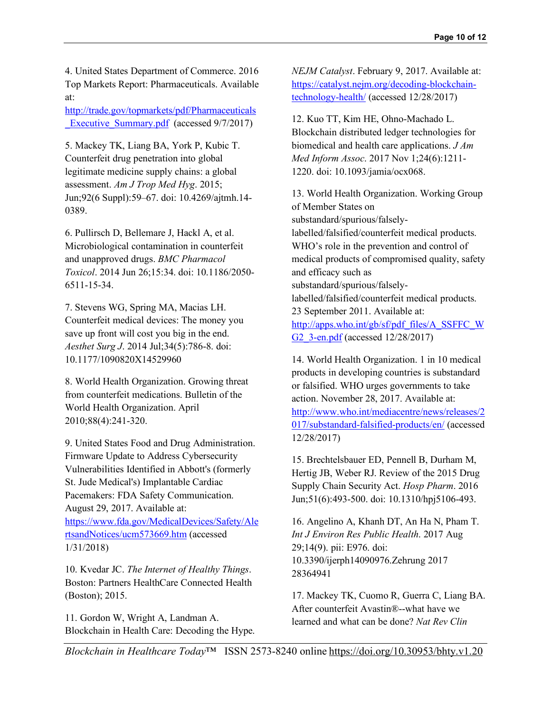4. United States Department of Commerce. 2016 Top Markets Report: Pharmaceuticals. Available at:

http://trade.gov/topmarkets/pdf/Pharmaceuticals **Executive Summary.pdf** (accessed 9/7/2017)

5. Mackey TK, Liang BA, York P, Kubic T. Counterfeit drug penetration into global legitimate medicine supply chains: a global assessment. *Am J Trop Med Hyg*. 2015; Jun;92(6 Suppl):59–67. doi: 10.4269/ajtmh.14- 0389.

6. Pullirsch D, Bellemare J, Hackl A, et al. Microbiological contamination in counterfeit and unapproved drugs. *BMC Pharmacol Toxicol*. 2014 Jun 26;15:34. doi: 10.1186/2050- 6511-15-34.

7. Stevens WG, Spring MA, Macias LH. Counterfeit medical devices: The money you save up front will cost you big in the end. *Aesthet Surg J*. 2014 Jul;34(5):786-8. doi: 10.1177/1090820X14529960

8. World Health Organization. Growing threat from counterfeit medications. Bulletin of the World Health Organization. April 2010;88(4):241-320.

9. United States Food and Drug Administration. Firmware Update to Address Cybersecurity Vulnerabilities Identified in Abbott's (formerly St. Jude Medical's) Implantable Cardiac Pacemakers: FDA Safety Communication. August 29, 2017. Available at: https://www.fda.gov/MedicalDevices/Safety/Ale rtsandNotices/ucm573669.htm (accessed 1/31/2018)

10. Kvedar JC. *The Internet of Healthy Things*. Boston: Partners HealthCare Connected Health (Boston); 2015.

11. Gordon W, Wright A, Landman A. Blockchain in Health Care: Decoding the Hype. *NEJM Catalyst*. February 9, 2017. Available at: https://catalyst.nejm.org/decoding-blockchaintechnology-health/ (accessed 12/28/2017)

12. Kuo TT, Kim HE, Ohno-Machado L. Blockchain distributed ledger technologies for biomedical and health care applications. *J Am Med Inform Assoc*. 2017 Nov 1;24(6):1211- 1220. doi: 10.1093/jamia/ocx068.

13. World Health Organization. Working Group of Member States on substandard/spurious/falselylabelled/falsified/counterfeit medical products. WHO's role in the prevention and control of medical products of compromised quality, safety and efficacy such as substandard/spurious/falselylabelled/falsified/counterfeit medical products. 23 September 2011. Available at: http://apps.who.int/gb/sf/pdf\_files/A\_SSFFC\_W G2\_3-en.pdf (accessed 12/28/2017)

14. World Health Organization. 1 in 10 medical products in developing countries is substandard or falsified. WHO urges governments to take action. November 28, 2017. Available at: http://www.who.int/mediacentre/news/releases/2 017/substandard-falsified-products/en/ (accessed 12/28/2017)

15. Brechtelsbauer ED, Pennell B, Durham M, Hertig JB, Weber RJ. Review of the 2015 Drug Supply Chain Security Act. *Hosp Pharm*. 2016 Jun;51(6):493-500. doi: 10.1310/hpj5106-493.

16. Angelino A, Khanh DT, An Ha N, Pham T. *Int J Environ Res Public Health*. 2017 Aug 29;14(9). pii: E976. doi: 10.3390/ijerph14090976.Zehrung 2017 28364941

17. Mackey TK, Cuomo R, Guerra C, Liang BA. After counterfeit Avastin®--what have we learned and what can be done? *Nat Rev Clin*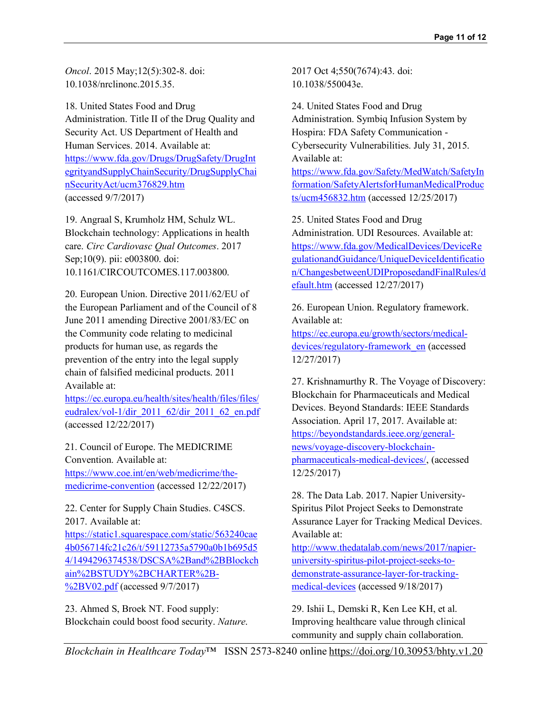*Oncol*. 2015 May;12(5):302-8. doi: 10.1038/nrclinonc.2015.35.

18. United States Food and Drug Administration. Title II of the Drug Quality and Security Act. US Department of Health and Human Services. 2014. Available at: https://www.fda.gov/Drugs/DrugSafety/DrugInt egrityandSupplyChainSecurity/DrugSupplyChai nSecurityAct/ucm376829.htm (accessed 9/7/2017)

19. Angraal S, Krumholz HM, Schulz WL. Blockchain technology: Applications in health care. *Circ Cardiovasc Qual Outcomes*. 2017 Sep;10(9). pii: e003800. doi: 10.1161/CIRCOUTCOMES.117.003800.

20. European Union. Directive 2011/62/EU of the European Parliament and of the Council of 8 June 2011 amending Directive 2001/83/EC on the Community code relating to medicinal products for human use, as regards the prevention of the entry into the legal supply chain of falsified medicinal products. 2011 Available at:

https://ec.europa.eu/health/sites/health/files/files/ eudralex/vol-1/dir\_2011\_62/dir\_2011\_62\_en.pdf (accessed 12/22/2017)

21. Council of Europe. The MEDICRIME Convention. Available at: https://www.coe.int/en/web/medicrime/themedicrime-convention (accessed 12/22/2017)

22. Center for Supply Chain Studies. C4SCS. 2017. Available at:

https://static1.squarespace.com/static/563240cae 4b056714fc21c26/t/59112735a5790a0b1b695d5 4/1494296374538/DSCSA%2Band%2BBlockch ain%2BSTUDY%2BCHARTER%2B- %2BV02.pdf (accessed 9/7/2017)

23. Ahmed S, Broek NT. Food supply: Blockchain could boost food security. *Nature*. 2017 Oct 4;550(7674):43. doi: 10.1038/550043e.

24. United States Food and Drug Administration. Symbiq Infusion System by Hospira: FDA Safety Communication - Cybersecurity Vulnerabilities. July 31, 2015. Available at:

https://www.fda.gov/Safety/MedWatch/SafetyIn formation/SafetyAlertsforHumanMedicalProduc ts/ucm456832.htm (accessed 12/25/2017)

25. United States Food and Drug Administration. UDI Resources. Available at: https://www.fda.gov/MedicalDevices/DeviceRe gulationandGuidance/UniqueDeviceIdentificatio n/ChangesbetweenUDIProposedandFinalRules/d efault.htm (accessed 12/27/2017)

26. European Union. Regulatory framework. Available at:

https://ec.europa.eu/growth/sectors/medicaldevices/regulatory-framework\_en (accessed 12/27/2017)

27. Krishnamurthy R. The Voyage of Discovery: Blockchain for Pharmaceuticals and Medical Devices. Beyond Standards: IEEE Standards Association. April 17, 2017. Available at: https://beyondstandards.ieee.org/generalnews/voyage-discovery-blockchainpharmaceuticals-medical-devices/, (accessed 12/25/2017)

28. The Data Lab. 2017. Napier University-Spiritus Pilot Project Seeks to Demonstrate Assurance Layer for Tracking Medical Devices. Available at:

http://www.thedatalab.com/news/2017/napieruniversity-spiritus-pilot-project-seeks-todemonstrate-assurance-layer-for-trackingmedical-devices (accessed 9/18/2017)

29. Ishii L, Demski R, Ken Lee KH, et al. Improving healthcare value through clinical community and supply chain collaboration.